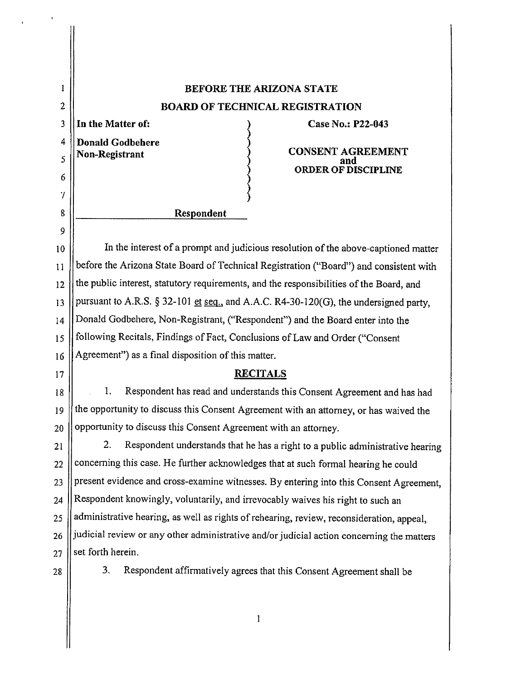| 1              | <b>BEFORE THE ARIZONA STATE</b>                                                           |
|----------------|-------------------------------------------------------------------------------------------|
| $\overline{2}$ | <b>BOARD OF TECHNICAL REGISTRATION</b>                                                    |
| 3              | In the Matter of:<br>Case No.: P22-043                                                    |
| 4              | <b>Donald Godbehere</b><br><b>CONSENT AGREEMENT</b>                                       |
| 5              | Non-Registrant<br><b>ORDER OF DISCIPLINE</b>                                              |
| 6              |                                                                                           |
| 7              |                                                                                           |
| 8              | Respondent                                                                                |
| 9              |                                                                                           |
| 10             | In the interest of a prompt and judicious resolution of the above-captioned matter        |
| 11             | before the Arizona State Board of Technical Registration ("Board") and consistent with    |
| 12             | the public interest, statutory requirements, and the responsibilities of the Board, and   |
| 13             | pursuant to A.R.S. $\S 32-101$ et seq., and A.A.C. R4-30-120(G), the undersigned party,   |
| 14             | Donald Godbehere, Non-Registrant, ("Respondent") and the Board enter into the             |
| 15             | following Recitals, Findings of Fact, Conclusions of Law and Order ("Consent              |
| 16             | Agreement") as a final disposition of this matter.                                        |
| 17             | <b>RECITALS</b>                                                                           |
| 18             | Respondent has read and understands this Consent Agreement and has had<br>1.              |
| 19             | the opportunity to discuss this Consent Agreement with an attorney, or has waived the     |
| 20             | opportunity to discuss this Consent Agreement with an attorney.                           |
| 21             | 2.<br>Respondent understands that he has a right to a public administrative hearing       |
| 22             | concerning this case. He further acknowledges that at such formal hearing he could        |
| 23             | present evidence and cross-examine witnesses. By entering into this Consent Agreement,    |
| 24             | Respondent knowingly, voluntarily, and irrevocably waives his right to such an            |
| 25             | administrative hearing, as well as rights of rehearing, review, reconsideration, appeal,  |
| 26             | judicial review or any other administrative and/or judicial action concerning the matters |
| 27             | set forth herein.                                                                         |
| 28             | 3.<br>Respondent affirmatively agrees that this Consent Agreement shall be                |
|                |                                                                                           |

 $\mathcal{A}$ 

 $\mathbf{r}$ 

 $\overline{1}$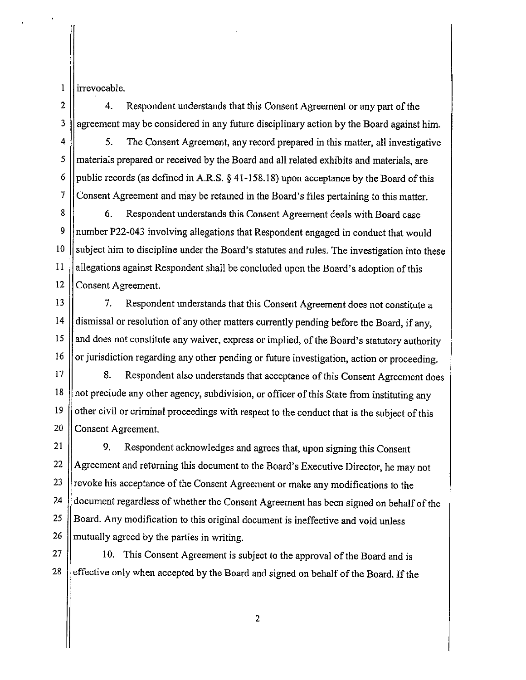1 ll irrevocable.

2 | 4. Respondent understands that this Consent Agreement or any part of the  $3$  | agreement may be considered in any future disciplinary action by the Board against him.

4 | 5. The Consent Agreement, any record prepared in this matter, all investigative 5 materials prepared or received by the Board and all related exhibits and materials, are 6 | public records (as defined in A.R.S.  $\S$  41-158.18) upon acceptance by the Board of this  $7 \parallel$  Consent Agreement and may be retained in the Board's files pertaining to this matter.

8 6. Respondent understands this Consent Agreement deals with Board case 9 number P22-043 involving allegations that Respondent engaged in conduct that would 10 Subject him to discipline under the Board's statutes and rules. The investigation into these  $11$  || allegations against Respondent shall be concluded upon the Board's adoption of this 12 Consent Agreement.

13 | 7. Respondent understands that this Consent Agreement does not constitute a 14 dismissal or resolution of any other matters currently pending before the Board, if any, 15 | and does not constitute any waiver, express or implied, of the Board's statutory authority 16 | or jurisdiction regarding any other pending or future investigation, action or proceeding.

17 | 8. Respondent also understands that acceptance of this Consent Agreement does 18 || not preclude any other agency, subdivision, or officer of this State from instituting any  $19$  | other civil or criminal proceedings with respect to the conduct that is the subject of this 20 Consent Agreement.

21 | 9. Respondent acknowledges and agrees that, upon signing this Consent 22  $\parallel$  Agreement and returning this document to the Board's Executive Director, he may not  $23$  | revoke his acceptance of the Consent Agreement or make any modifications to the 24 | document regardless of whether the Consent Agreement has been signed on behalf of the 25 | Board. Any modification to this original document is ineffective and void unless  $26$  || mutually agreed by the parties in writing.

 $27$  | 10. This Consent Agreement is subject to the approval of the Board and is  $28$  | effective only when accepted by the Board and signed on behalf of the Board. If the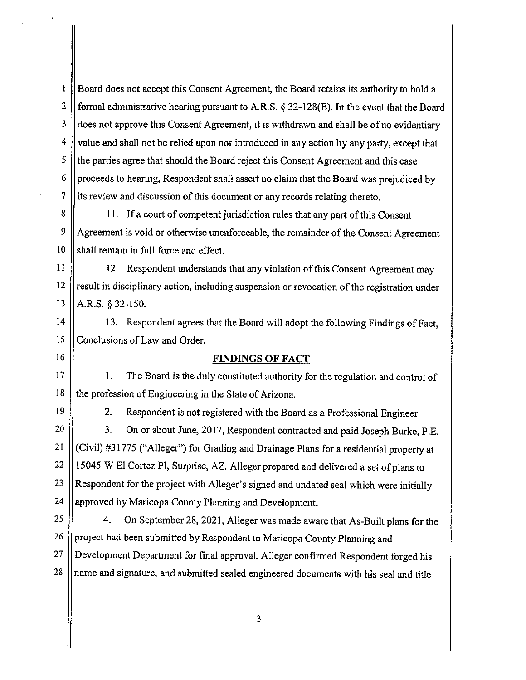I Board does not accept this Consent Agreement, the Board retains its authority to hold a 2 | formal administrative hearing pursuant to A.R.S.  $\S$  32-128(E). In the event that the Board 3 | does not approve this Consent Agreement, it is withdrawn and shall be of no evidentiary 4 value and shall not be relied upon nor introduced in any action by any party, except that 5 the parties agree that should the Board reject this Consent Agreement and this case  $6 \parallel$  proceeds to hearing, Respondent shall assert no claim that the Board was prejudiced by 7 is review and discussion of this document or any records relating thereto.

8 | 11. If a court of competent jurisdiction rules that any part of this Consent 9 Agreement is void or otherwise unenforceable, the remainder of the Consent Agreement  $10$  shall remain in full force and effect.

11 | 12. Respondent understands that any violation of this Consent Agreement may  $12$  | result in disciplinary action, including suspension or revocation of the registration under 13  $|$  A.R.S. § 32-150.

14 || 13. Respondent agrees that the Board will adopt the following Findings of Fact, 15 Conclusions of Law and Order.

## 16 **FINDINGS OF FACT**

17 || 1. The Board is the duly constituted authority for the regulation and control of 18 || the profession of Engineering in the State of Arizona.

19 | 2. Respondent is not registered with the Board as a Professional Engineer. 20 | 3. On or about June, 2017, Respondent contracted and paid Joseph Burke, P.E. 21 (Civil) #31775 ("Alleger") for Grading and Drainage Plans for a residential property at 22  $\parallel$  15045 W El Cortez Pl, Surprise, AZ. Alleger prepared and delivered a set of plans to 23 Respondent for the project with Alleger's signed and undated seal which were initially 24  $\parallel$  approved by Maricopa County Planning and Development.

25 4. On September 28, 2021, Alleger was made aware that As-Built plans for the 26 | project had been submitted by Respondent to Maricopa County Planning and 27 || Development Department for final approval. Alleger confirmed Respondent forged his  $28$  || name and signature, and submitted sealed engineered documents with his seal and title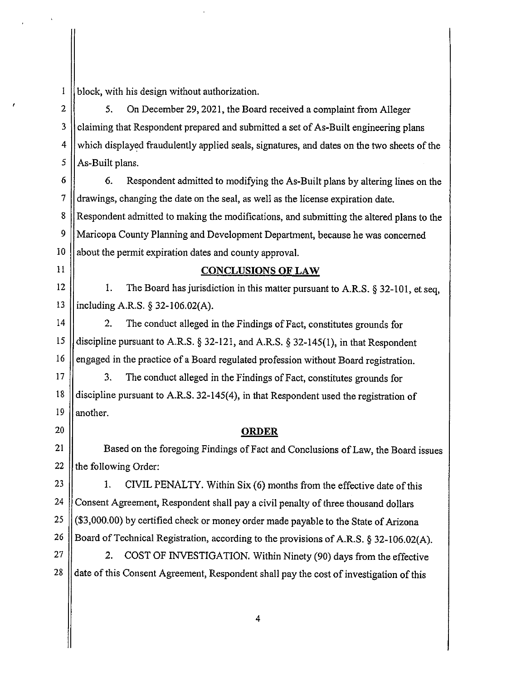block, with his design without authorization.

2 | 5. On December 29, 2021, the Board received a complaint from Alleger 3 | claiming that Respondent prepared and submitted a set of As-Built engineering plans 4 which displayed fraudulently applied seals, signatures, and dates on the two sheets of the  $5$  | As-Built plans.

6 6. Respondent admitted to modifying the As-Built plans by altering lines on the 7 drawings, changing the date on the seal, as well as the license expiration date. 8 || Respondent admitted to making the modifications, and submitting the altered plans to the 9 Maricopa County Planning and Development Department, because he was concerned 10 || about the permit expiration dates and county approval.

 $\mathbf{I}$ 

## 11 **CONCLUSIONS OF LAW**

12  $\vert$  1. The Board has jurisdiction in this matter pursuant to A.R.S. § 32-101, et seq. 13 including A.R.S. § 32-106.02(A).

14 | 2. The conduct alleged in the Findings of Fact, constitutes grounds for 15  $\parallel$  discipline pursuant to A.R.S. § 32-121, and A.R.S. § 32-145(1), in that Respondent 16 | engaged in the practice of a Board regulated profession without Board registration.

17 || 3. The conduct alleged in the Findings of Fact, constitutes grounds for 18 discipline pursuant to A.R.S. 32-145(4), in that Respondent used the registration of 19  $\parallel$  another.

## 20 **ORDER**

21 | Based on the foregoing Findings of Fact and Conclusions of Law, the Board issues 22  $\parallel$  the following Order:

23  $\parallel$  1. CIVIL PENALTY. Within Six (6) months from the effective date of this 24 Consent Agreement, Respondent shall pay a civil penalty of three thousand dollars  $25 \mid (\$3,000.00)$  by certified check or money order made payable to the State of Arizona 26 | Board of Technical Registration, according to the provisions of A.R.S. § 32-106.02(A).

 $27$  || 2. COST OF INVESTIGATION. Within Ninety (90) days from the effective 28 date of this Consent Agreement, Respondent shall pay the cost of investigation of this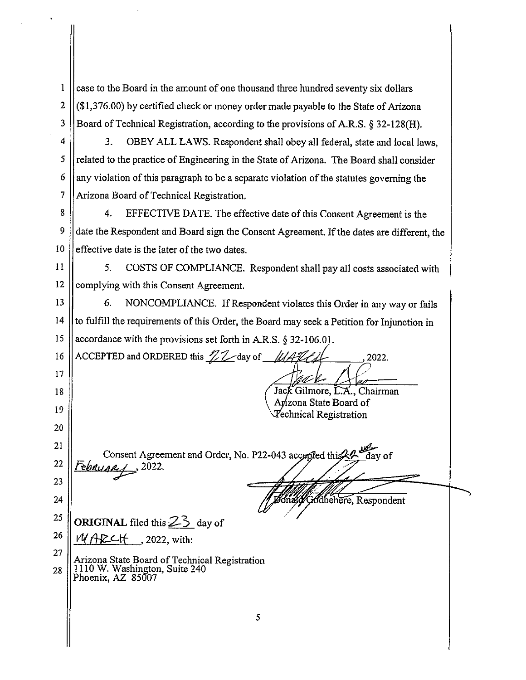1 case to the Board in the amount of one thousand three hundred seventy six dollars 2  $\left| \frac{\sin(1.376.00)}{\sin(1.376.00)} \right|$  by certified check or money order made payable to the State of Arizona 3 Board of Technical Registration, according to the provisions of A.R.S. § 32-128(H).

4  $\vert$  3. OBEY ALL LAWS. Respondent shall obey all federal, state and local laws, *5* related to the practice of Engineering in the State of Arizona. The Board shall consider  $6 \parallel$  any violation of this paragraph to be a separate violation of the statutes governing the 7 || Arizona Board of Technical Registration.

8 | 4. EFFECTIVE DATE. The effective date of this Consent Agreement is the 9 date the Respondent and Board sign the Consent Agreement. If the dates are different, the  $10$  | effective date is the later of the two dates.

11 | 5. COSTS OF COMPLIANCE. Respondent shall pay all costs associated with 12  $\parallel$  complying with this Consent Agreement.

13 | 6. NONCOMPLIANCE. If Respondent violates this Order in any way or fails 14 | to fulfill the requirements of this Order, the Board may seek a Petition for Injunction in 15 || accordance with the provisions set forth in A.R.S.  $\S 32-106.01$ .

16 ACCEPTED and ORDERED this  $\mathcal{IL}$  day of  $\mathcal{UAL}$  2022.

Jack Gilmore, L.A., Chairman Anzona State Board of *Technical Registration* 

21 22 23 *Fe6wia';/=,* 2022.

17

18

19

20

24

27

Consent Agreement and Order, No. P22-043 accepted this 24 Godbehere, Respondent

25 26 **ORIGINAL** filed this  $2\overline{3}$  day of

*WAZCH*, 2022, with:

 $\begin{array}{c} 2' \\ 2 \end{array}$  Arizona State Board of Technical Registration 28 1110 W. Washington, Suite 240 Phoenix, AZ 85007